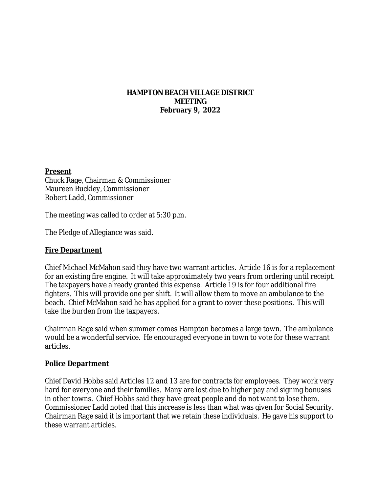### **HAMPTON BEACH VILLAGE DISTRICT MEETING February 9, 2022**

#### **Present**

Chuck Rage, Chairman & Commissioner Maureen Buckley, Commissioner Robert Ladd, Commissioner

The meeting was called to order at 5:30 p.m.

The Pledge of Allegiance was said.

### **Fire Department**

Chief Michael McMahon said they have two warrant articles. Article 16 is for a replacement for an existing fire engine. It will take approximately two years from ordering until receipt. The taxpayers have already granted this expense. Article 19 is for four additional fire fighters. This will provide one per shift. It will allow them to move an ambulance to the beach. Chief McMahon said he has applied for a grant to cover these positions. This will take the burden from the taxpayers.

Chairman Rage said when summer comes Hampton becomes a large town. The ambulance would be a wonderful service. He encouraged everyone in town to vote for these warrant articles.

### **Police Department**

Chief David Hobbs said Articles 12 and 13 are for contracts for employees. They work very hard for everyone and their families. Many are lost due to higher pay and signing bonuses in other towns. Chief Hobbs said they have great people and do not want to lose them. Commissioner Ladd noted that this increase is less than what was given for Social Security. Chairman Rage said it is important that we retain these individuals. He gave his support to these warrant articles.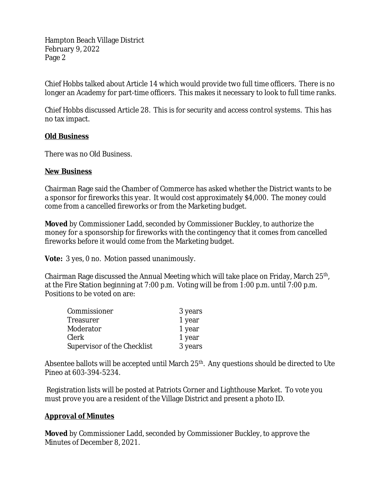Hampton Beach Village District February 9, 2022 Page 2

Chief Hobbs talked about Article 14 which would provide two full time officers. There is no longer an Academy for part-time officers. This makes it necessary to look to full time ranks.

Chief Hobbs discussed Article 28. This is for security and access control systems. This has no tax impact.

### **Old Business**

There was no Old Business.

### **New Business**

Chairman Rage said the Chamber of Commerce has asked whether the District wants to be a sponsor for fireworks this year. It would cost approximately \$4,000. The money could come from a cancelled fireworks or from the Marketing budget.

**Moved** by Commissioner Ladd, seconded by Commissioner Buckley, to authorize the money for a sponsorship for fireworks with the contingency that it comes from cancelled fireworks before it would come from the Marketing budget.

**Vote:** 3 yes, 0 no. Motion passed unanimously.

Chairman Rage discussed the Annual Meeting which will take place on Friday, March 25<sup>th</sup>, at the Fire Station beginning at 7:00 p.m. Voting will be from 1:00 p.m. until 7:00 p.m. Positions to be voted on are:

| Commissioner                | 3 years |
|-----------------------------|---------|
| Treasurer                   | 1 year  |
| Moderator                   | 1 year  |
| Clerk                       | 1 year  |
| Supervisor of the Checklist | 3 years |

Absentee ballots will be accepted until March 25<sup>th</sup>. Any questions should be directed to Ute Pineo at 603-394-5234.

 Registration lists will be posted at Patriots Corner and Lighthouse Market. To vote you must prove you are a resident of the Village District and present a photo ID.

# **Approval of Minutes**

**Moved** by Commissioner Ladd, seconded by Commissioner Buckley, to approve the Minutes of December 8, 2021.